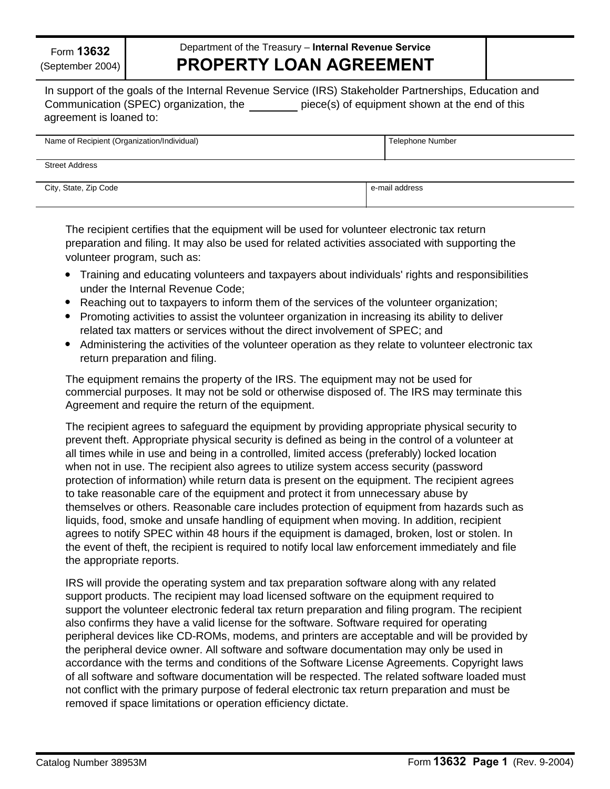Form **13632** (September 2004)

## **PROPERTY LOAN AGREEMENT** Department of the Treasury – **Internal Revenue Service**

In support of the goals of the Internal Revenue Service (IRS) Stakeholder Partnerships, Education and Communication (SPEC) organization, the piece(s) of equipment shown at the end of this agreement is loaned to:

| Name of Recipient (Organization/Individual) | Telephone Number |
|---------------------------------------------|------------------|
| <b>Street Address</b>                       |                  |
| City, State, Zip Code                       | e-mail address   |

The recipient certifies that the equipment will be used for volunteer electronic tax return preparation and filing. It may also be used for related activities associated with supporting the volunteer program, such as:

- Training and educating volunteers and taxpayers about individuals' rights and responsibilities under the Internal Revenue Code;
- Reaching out to taxpayers to inform them of the services of the volunteer organization;
- Promoting activities to assist the volunteer organization in increasing its ability to deliver related tax matters or services without the direct involvement of SPEC; and
- Administering the activities of the volunteer operation as they relate to volunteer electronic tax return preparation and filing.

The equipment remains the property of the IRS. The equipment may not be used for commercial purposes. It may not be sold or otherwise disposed of. The IRS may terminate this Agreement and require the return of the equipment.

The recipient agrees to safeguard the equipment by providing appropriate physical security to prevent theft. Appropriate physical security is defined as being in the control of a volunteer at all times while in use and being in a controlled, limited access (preferably) locked location when not in use. The recipient also agrees to utilize system access security (password protection of information) while return data is present on the equipment. The recipient agrees to take reasonable care of the equipment and protect it from unnecessary abuse by themselves or others. Reasonable care includes protection of equipment from hazards such as liquids, food, smoke and unsafe handling of equipment when moving. In addition, recipient agrees to notify SPEC within 48 hours if the equipment is damaged, broken, lost or stolen. In the event of theft, the recipient is required to notify local law enforcement immediately and file the appropriate reports.

IRS will provide the operating system and tax preparation software along with any related support products. The recipient may load licensed software on the equipment required to support the volunteer electronic federal tax return preparation and filing program. The recipient also confirms they have a valid license for the software. Software required for operating peripheral devices like CD-ROMs, modems, and printers are acceptable and will be provided by the peripheral device owner. All software and software documentation may only be used in accordance with the terms and conditions of the Software License Agreements. Copyright laws of all software and software documentation will be respected. The related software loaded must not conflict with the primary purpose of federal electronic tax return preparation and must be removed if space limitations or operation efficiency dictate.